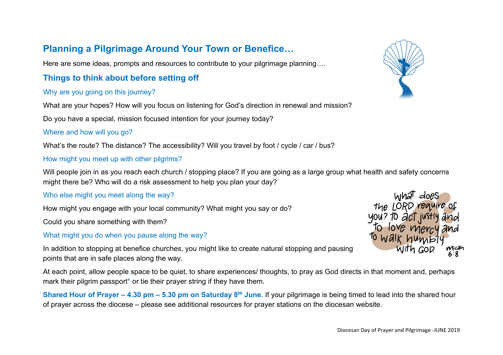## **Planning a Pilgrimage Around Your Town or Benefice…**

Here are some ideas, prompts and resources to contribute to your pilgrimage planning....

### **Things to think about before setting off**

### Why are you going on this journey?

What are your hopes? How will you focus on listening for God's direction in renewal and mission?

Do you have a special, mission focused intention for your journey today?

Where and how will you go?

What's the route? The distance? The accessibility? Will you travel by foot / cycle / car / bus?

How might you meet up with other pilgrims?

Will people join in as you reach each church / stopping place? If you are going as a large group what health and safety concerns might there be? Who will do a risk assessment to help you plan your day?

Who else might you meet along the way?

How might you engage with your local community? What might you say or do?

Could you share something with them?

What might you do when you pause along the way?





In addition to stopping at benefice churches, you might like to create natural stopping and pausing points that are in safe places along the way.

At each point, allow people space to be quiet, to share experiences/ thoughts, to pray as God directs in that moment and, perhaps mark their pilgrim passport<sup>\*</sup> or tie their prayer string if they have them.

**Shared Hour of Prayer – 4.30 pm – 5.30 pm on Saturday 8th June.** If your pilgrimage is being timed to lead into the shared hour of prayer across the diocese – please see additional resources for prayer stations on the diocesan website.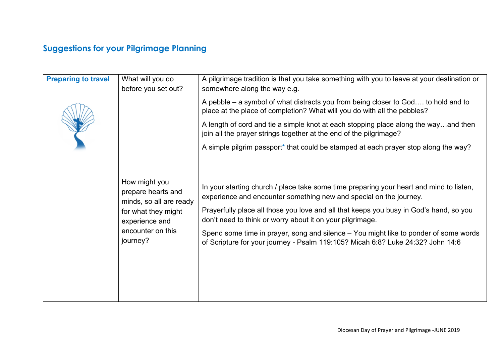# **Suggestions for your Pilgrimage Planning**

| <b>Preparing to travel</b> | What will you do                                                                                                                         | A pilgrimage tradition is that you take something with you to leave at your destination or                                                                              |
|----------------------------|------------------------------------------------------------------------------------------------------------------------------------------|-------------------------------------------------------------------------------------------------------------------------------------------------------------------------|
|                            | before you set out?                                                                                                                      | somewhere along the way e.g.                                                                                                                                            |
|                            |                                                                                                                                          | A pebble – a symbol of what distracts you from being closer to God to hold and to<br>place at the place of completion? What will you do with all the pebbles?           |
|                            |                                                                                                                                          | A length of cord and tie a simple knot at each stopping place along the wayand then<br>join all the prayer strings together at the end of the pilgrimage?               |
|                            |                                                                                                                                          | A simple pilgrim passport* that could be stamped at each prayer stop along the way?                                                                                     |
|                            |                                                                                                                                          |                                                                                                                                                                         |
|                            | How might you<br>prepare hearts and<br>minds, so all are ready<br>for what they might<br>experience and<br>encounter on this<br>journey? | In your starting church / place take some time preparing your heart and mind to listen,<br>experience and encounter something new and special on the journey.           |
|                            |                                                                                                                                          | Prayerfully place all those you love and all that keeps you busy in God's hand, so you<br>don't need to think or worry about it on your pilgrimage.                     |
|                            |                                                                                                                                          | Spend some time in prayer, song and silence – You might like to ponder of some words<br>of Scripture for your journey - Psalm 119:105? Micah 6:8? Luke 24:32? John 14:6 |
|                            |                                                                                                                                          |                                                                                                                                                                         |
|                            |                                                                                                                                          |                                                                                                                                                                         |
|                            |                                                                                                                                          |                                                                                                                                                                         |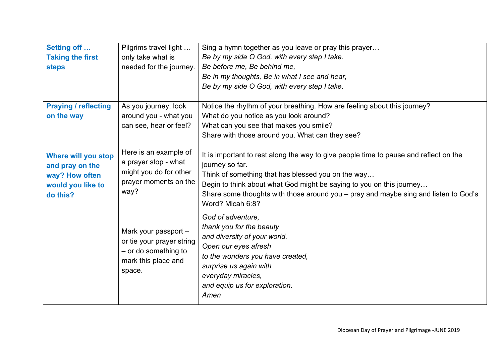| Setting off                 | Pilgrims travel light                                                                            | Sing a hymn together as you leave or pray this prayer                                 |  |  |  |
|-----------------------------|--------------------------------------------------------------------------------------------------|---------------------------------------------------------------------------------------|--|--|--|
| <b>Taking the first</b>     | only take what is                                                                                | Be by my side O God, with every step I take.                                          |  |  |  |
| <b>steps</b>                | needed for the journey.                                                                          | Be before me, Be behind me,                                                           |  |  |  |
|                             |                                                                                                  | Be in my thoughts, Be in what I see and hear,                                         |  |  |  |
|                             |                                                                                                  | Be by my side O God, with every step I take.                                          |  |  |  |
|                             |                                                                                                  |                                                                                       |  |  |  |
| <b>Praying / reflecting</b> | As you journey, look                                                                             | Notice the rhythm of your breathing. How are feeling about this journey?              |  |  |  |
| on the way                  | around you - what you                                                                            | What do you notice as you look around?                                                |  |  |  |
|                             | can see, hear or feel?                                                                           | What can you see that makes you smile?                                                |  |  |  |
|                             |                                                                                                  | Share with those around you. What can they see?                                       |  |  |  |
|                             |                                                                                                  |                                                                                       |  |  |  |
| Where will you stop         | Here is an example of<br>a prayer stop - what<br>might you do for other<br>prayer moments on the | It is important to rest along the way to give people time to pause and reflect on the |  |  |  |
| and pray on the             |                                                                                                  | journey so far.                                                                       |  |  |  |
| way? How often              |                                                                                                  | Think of something that has blessed you on the way                                    |  |  |  |
| would you like to           |                                                                                                  | Begin to think about what God might be saying to you on this journey                  |  |  |  |
| do this?                    | way?                                                                                             | Share some thoughts with those around you – pray and maybe sing and listen to God's   |  |  |  |
|                             |                                                                                                  | Word? Micah 6:8?                                                                      |  |  |  |
|                             |                                                                                                  | God of adventure,                                                                     |  |  |  |
|                             | Mark your passport -<br>or tie your prayer string<br>$-$ or do something to                      | thank you for the beauty                                                              |  |  |  |
|                             |                                                                                                  | and diversity of your world.                                                          |  |  |  |
|                             |                                                                                                  | Open our eyes afresh                                                                  |  |  |  |
|                             |                                                                                                  | to the wonders you have created,                                                      |  |  |  |
|                             | mark this place and                                                                              | surprise us again with                                                                |  |  |  |
|                             | space.                                                                                           | everyday miracles,                                                                    |  |  |  |
|                             |                                                                                                  |                                                                                       |  |  |  |
|                             |                                                                                                  | and equip us for exploration.                                                         |  |  |  |
|                             |                                                                                                  | Amen                                                                                  |  |  |  |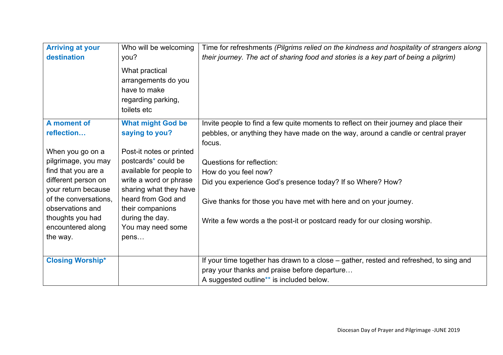| <b>Arriving at your</b>               | Who will be welcoming                | Time for refreshments (Pilgrims relied on the kindness and hospitality of strangers along |  |  |  |
|---------------------------------------|--------------------------------------|-------------------------------------------------------------------------------------------|--|--|--|
| destination                           | you?                                 | their journey. The act of sharing food and stories is a key part of being a pilgrim)      |  |  |  |
|                                       | What practical                       |                                                                                           |  |  |  |
|                                       | arrangements do you                  |                                                                                           |  |  |  |
|                                       | have to make                         |                                                                                           |  |  |  |
|                                       | regarding parking,                   |                                                                                           |  |  |  |
|                                       | toilets etc                          |                                                                                           |  |  |  |
| A moment of                           | <b>What might God be</b>             | Invite people to find a few quite moments to reflect on their journey and place their     |  |  |  |
| reflection                            | saying to you?                       | pebbles, or anything they have made on the way, around a candle or central prayer         |  |  |  |
|                                       |                                      | focus.                                                                                    |  |  |  |
| When you go on a                      | Post-it notes or printed             |                                                                                           |  |  |  |
| pilgrimage, you may                   | postcards* could be                  | Questions for reflection:                                                                 |  |  |  |
| find that you are a                   | available for people to              | How do you feel now?                                                                      |  |  |  |
| different person on                   | write a word or phrase               | Did you experience God's presence today? If so Where? How?                                |  |  |  |
| your return because                   | sharing what they have               |                                                                                           |  |  |  |
| of the conversations.                 | heard from God and                   | Give thanks for those you have met with here and on your journey.                         |  |  |  |
| observations and                      | their companions                     |                                                                                           |  |  |  |
| thoughts you had<br>encountered along | during the day.<br>You may need some | Write a few words a the post-it or postcard ready for our closing worship.                |  |  |  |
| the way.                              |                                      |                                                                                           |  |  |  |
|                                       | pens                                 |                                                                                           |  |  |  |
|                                       |                                      |                                                                                           |  |  |  |
| <b>Closing Worship*</b>               |                                      | If your time together has drawn to a close – gather, rested and refreshed, to sing and    |  |  |  |
|                                       |                                      | pray your thanks and praise before departure                                              |  |  |  |
|                                       |                                      | A suggested outline** is included below.                                                  |  |  |  |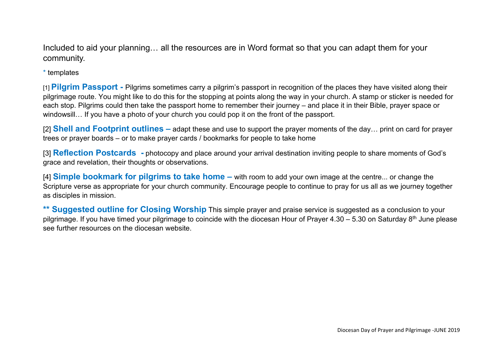Included to aid your planning… all the resources are in Word format so that you can adapt them for your community.

\* templates

[1] **Pilgrim Passport -** Pilgrims sometimes carry a pilgrim's passport in recognition of the places they have visited along their pilgrimage route. You might like to do this for the stopping at points along the way in your church. A stamp or sticker is needed for each stop. Pilgrims could then take the passport home to remember their journey – and place it in their Bible, prayer space or windowsill… If you have a photo of your church you could pop it on the front of the passport.

[2] **Shell and Footprint outlines –** adapt these and use to support the prayer moments of the day… print on card for prayer trees or prayer boards – or to make prayer cards / bookmarks for people to take home

[3] **Reflection Postcards -** photocopy and place around your arrival destination inviting people to share moments of God's grace and revelation, their thoughts or observations.

[4] **Simple bookmark for pilgrims to take home –** with room to add your own image at the centre... or change the Scripture verse as appropriate for your church community. Encourage people to continue to pray for us all as we journey together as disciples in mission.

**\*\* Suggested outline for Closing Worship** This simple prayer and praise service is suggested as a conclusion to your pilgrimage. If you have timed your pilgrimage to coincide with the diocesan Hour of Prayer 4.30 – 5.30 on Saturday  $8<sup>th</sup>$  June please see further resources on the diocesan website.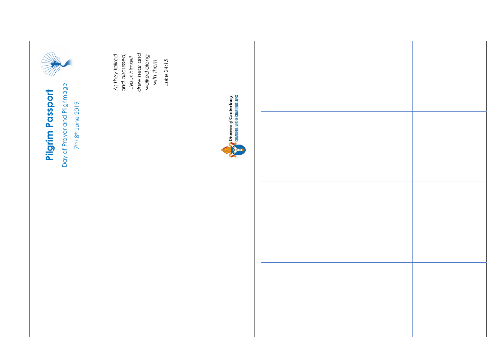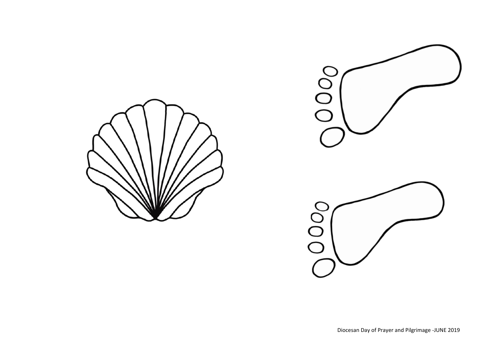



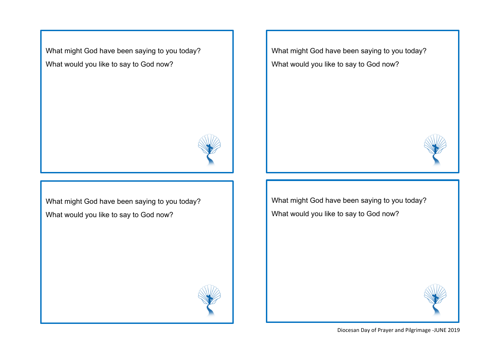What might God have been saying to you today? What would you like to say to God now?



What might God have been saying to you today? What would you like to say to God now?



What might God have been saying to you today? What would you like to say to God now?



What might God have been saying to you today? What would you like to say to God now?



Diocesan Day of Prayer and Pilgrimage -JUNE 2019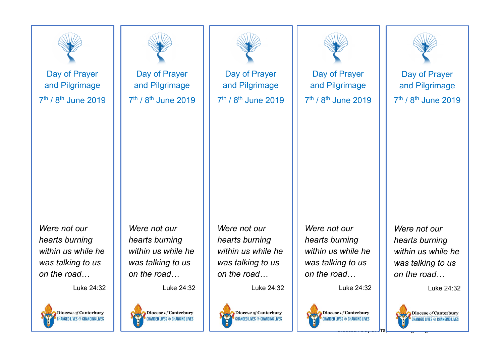| Day of Prayer<br>and Pilgrimage                                                                        | Day of Prayer<br>and Pilgrimage                                                                        | Day of Prayer<br>and Pilgrimage                                                                        | Day of Prayer<br>and Pilgrimage                                                                        | Day of Prayer<br>and Pilgrimage                                                                        |
|--------------------------------------------------------------------------------------------------------|--------------------------------------------------------------------------------------------------------|--------------------------------------------------------------------------------------------------------|--------------------------------------------------------------------------------------------------------|--------------------------------------------------------------------------------------------------------|
| 7 <sup>th</sup> / 8 <sup>th</sup> June 2019                                                            | 7 <sup>th</sup> / 8 <sup>th</sup> June 2019                                                            | 7 <sup>th</sup> / 8 <sup>th</sup> June 2019                                                            | 7 <sup>th</sup> / 8 <sup>th</sup> June 2019                                                            | 7 <sup>th</sup> / 8 <sup>th</sup> June 2019                                                            |
| Were not our<br>hearts burning<br>within us while he<br>was talking to us<br>on the road<br>Luke 24:32 | Were not our<br>hearts burning<br>within us while he<br>was talking to us<br>on the road<br>Luke 24:32 | Were not our<br>hearts burning<br>within us while he<br>was talking to us<br>on the road<br>Luke 24:32 | Were not our<br>hearts burning<br>within us while he<br>was talking to us<br>on the road<br>Luke 24:32 | Were not our<br>hearts burning<br>within us while he<br>was talking to us<br>on the road<br>Luke 24:32 |
| Diocese of Canterbury<br><b>CHANGED LIVES ☉ CHANGING LIVES</b>                                         | Diocese of Canterbury<br><b>CHANGED LIVES @ CHANGING LIVES</b>                                         | Diocese of Canterbury<br><b>CHANGED LIVES ☉ CHANGING LIVES</b>                                         | Diocese of Canterbury<br><b>CHANGED LIVES → CHANGING LIVES</b><br>er ra<br>-----------                 | Diocese of Canterbury<br><b>CHANGED LIVES ◈ CHANGING LIVES</b>                                         |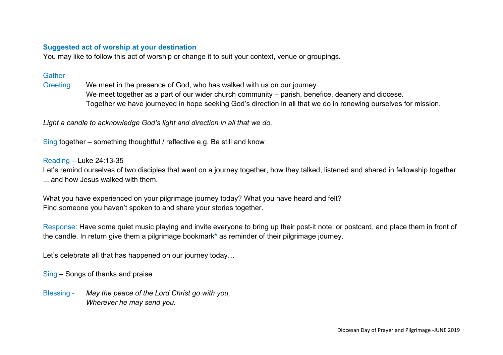#### **Suggested act of worship at your destination**

You may like to follow this act of worship or change it to suit your context, venue or groupings.

### **Gather**

Greeting: We meet in the presence of God, who has walked with us on our journey We meet together as a part of our wider church community – parish, benefice, deanery and diocese. Together we have journeyed in hope seeking God's direction in all that we do in renewing ourselves for mission.

*Light a candle to acknowledge God's light and direction in all that we do.* 

Sing together – something thoughtful / reflective e.g. Be still and know

Reading – Luke 24:13-35

Let's remind ourselves of two disciples that went on a journey together, how they talked, listened and shared in fellowship together ... and how Jesus walked with them.

What you have experienced on your pilgrimage journey today? What you have heard and felt? Find someone you haven't spoken to and share your stories together.

Response: Have some quiet music playing and invite everyone to bring up their post-it note, or postcard, and place them in front of the candle. In return give them a pilgrimage bookmark**\*** as reminder of their pilgrimage journey.

Let's celebrate all that has happened on our journey today…

Sing – Songs of thanks and praise

Blessing - *May the peace of the Lord Christ go with you, Wherever he may send you.*